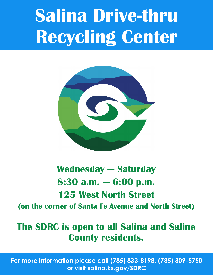## **Salina Drive-thru Recycling Center**



### **Wednesday — Saturday 8:30 a.m. — 6:00 p.m. 125 West North Street**

**(on the corner of Santa Fe Avenue and North Street)**

### **The SDRC is open to all Salina and Saline County residents.**

**For more information please call (785) 833-8198, (785) 309-5750 or visit salina.ks.gov/SDRC**